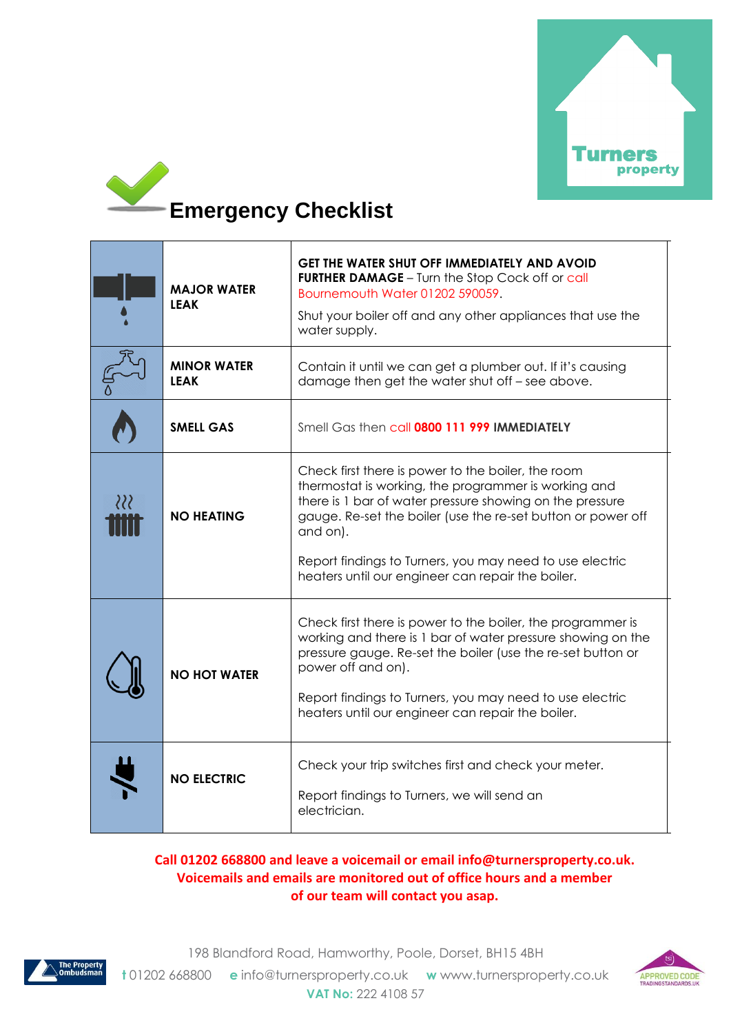



|          | <b>MAJOR WATER</b><br><b>LEAK</b> | <b>GET THE WATER SHUT OFF IMMEDIATELY AND AVOID</b><br><b>FURTHER DAMAGE</b> - Turn the Stop Cock off or call<br>Bournemouth Water 01202 590059.<br>Shut your boiler off and any other appliances that use the<br>water supply.                                                                                                                                     |
|----------|-----------------------------------|---------------------------------------------------------------------------------------------------------------------------------------------------------------------------------------------------------------------------------------------------------------------------------------------------------------------------------------------------------------------|
|          | <b>MINOR WATER</b><br>LEAK        | Contain it until we can get a plumber out. If it's causing<br>damage then get the water shut off - see above.                                                                                                                                                                                                                                                       |
|          | <b>SMELL GAS</b>                  | Smell Gas then call 0800 111 999 IMMEDIATELY                                                                                                                                                                                                                                                                                                                        |
| $\Omega$ | <b>NO HEATING</b>                 | Check first there is power to the boiler, the room<br>thermostat is working, the programmer is working and<br>there is 1 bar of water pressure showing on the pressure<br>gauge. Re-set the boiler (use the re-set button or power off<br>and on).<br>Report findings to Turners, you may need to use electric<br>heaters until our engineer can repair the boiler. |
|          | <b>NO HOT WATER</b>               | Check first there is power to the boiler, the programmer is<br>working and there is 1 bar of water pressure showing on the<br>pressure gauge. Re-set the boiler (use the re-set button or<br>power off and on).<br>Report findings to Turners, you may need to use electric<br>heaters until our engineer can repair the boiler.                                    |
|          | <b>NO ELECTRIC</b>                | Check your trip switches first and check your meter.<br>Report findings to Turners, we will send an<br>electrician.                                                                                                                                                                                                                                                 |

## **Call 01202 668800 and leave a voicemail or email [info@turnersproperty.co.uk.](mailto:info@turnersproperty.co.uk) Voicemails and emails are monitored out of office hours and a member of our team will contact you asap.**



198 Blandford Road, Hamworthy, Poole, Dorset, BH15 4BH **t** 01202 668800 **e** [info@turnersproperty.co.uk](mailto:info@turnersproperty.co.uk) **w** [www.turnersproperty.co.uk](http://www.turnersproperty.co.uk/) **VAT No:** 222 4108 57